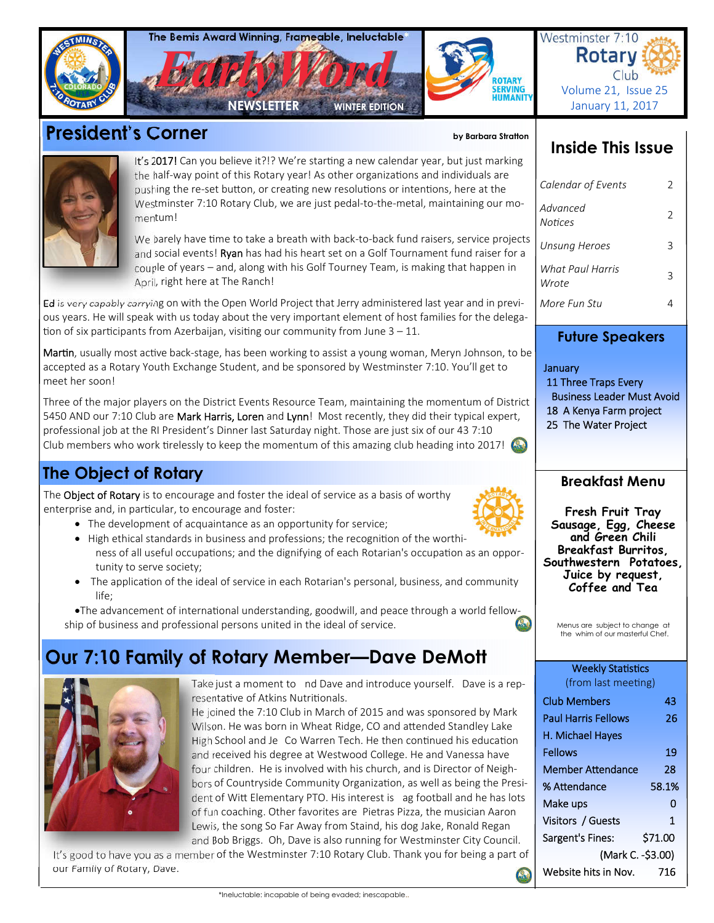|                    | The Bemis Award Winning, Frameable, Ineluctable<br>ROTARY<br>SERVING<br>HUMANITY<br><b>NEWSLETTER</b><br><b>WINTER EDITION</b>                                                                                                                                                                                                                                                                                                                                                                                                                                                                                                        | Westminster 7:10<br><b>Rotary</b><br>Club<br>Volume 21, Issue 25<br>January 11, 2017                                                                |
|--------------------|---------------------------------------------------------------------------------------------------------------------------------------------------------------------------------------------------------------------------------------------------------------------------------------------------------------------------------------------------------------------------------------------------------------------------------------------------------------------------------------------------------------------------------------------------------------------------------------------------------------------------------------|-----------------------------------------------------------------------------------------------------------------------------------------------------|
|                    | <b>President's Corner</b><br>by Barbara Stratton                                                                                                                                                                                                                                                                                                                                                                                                                                                                                                                                                                                      |                                                                                                                                                     |
|                    | It's 2017! Can you believe it?!? We're starting a new calendar year, but just marking<br>the half-way point of this Rotary year! As other organizations and individuals are<br>pushing the re-set button, or creating new resolutions or intentions, here at the<br>Westminster 7:10 Rotary Club, we are just pedal-to-the-metal, maintaining our mo-<br>mentum!                                                                                                                                                                                                                                                                      | <b>Inside This Issue</b><br>Calendar of Events<br>2<br>Advanced<br>2<br><b>Notices</b>                                                              |
|                    | We barely have time to take a breath with back-to-back fund raisers, service projects<br>and social events! Ryan has had his heart set on a Golf Tournament fund raiser for a<br>couple of years - and, along with his Golf Tourney Team, is making that happen in<br>April, right here at The Ranch!                                                                                                                                                                                                                                                                                                                                 | <b>Unsung Heroes</b><br>3<br>What Paul Harris<br>3<br>Wrote                                                                                         |
|                    | Ed is very capably carrying on with the Open World Project that Jerry administered last year and in previ-<br>ous years. He will speak with us today about the very important element of host families for the delega-<br>tion of six participants from Azerbaijan, visiting our community from June $3 - 11$ .                                                                                                                                                                                                                                                                                                                       | More Fun Stu<br>4<br><b>Future Speakers</b>                                                                                                         |
| meet her soon!     | Martin, usually most active back-stage, has been working to assist a young woman, Meryn Johnson, to be<br>accepted as a Rotary Youth Exchange Student, and be sponsored by Westminster 7:10. You'll get to<br>Three of the major players on the District Events Resource Team, maintaining the momentum of District<br>5450 AND our 7:10 Club are Mark Harris, Loren and Lynn! Most recently, they did their typical expert,<br>professional job at the RI President's Dinner last Saturday night. Those are just six of our 43 7:10<br>Club members who work tirelessly to keep the momentum of this amazing club heading into 2017! | January<br>11 Three Traps Every<br><b>Business Leader Must Avoid</b><br>18 A Kenya Farm project<br>25 The Water Project                             |
|                    | <b>The Object of Rotary</b>                                                                                                                                                                                                                                                                                                                                                                                                                                                                                                                                                                                                           | <b>Breakfast Menu</b>                                                                                                                               |
| $\bullet$<br>life; | The Object of Rotary is to encourage and foster the ideal of service as a basis of worthy<br>enterprise and, in particular, to encourage and foster:<br>• The development of acquaintance as an opportunity for service;<br>• High ethical standards in business and professions; the recognition of the worthi-<br>ness of all useful occupations; and the dignifying of each Rotarian's occupation as an oppor-<br>tunity to serve society;<br>The application of the ideal of service in each Rotarian's personal, business, and community                                                                                         | Fresh Fruit Tray<br>Sausage, Egg, Cheese<br>and Green Chili<br>Breakfast Burritos,<br>Southwestern Potatoes,<br>Juice by request,<br>Coffee and Tea |
|                    | •The advancement of international understanding, goodwill, and peace through a world fellow-<br>ship of business and professional persons united in the ideal of service.                                                                                                                                                                                                                                                                                                                                                                                                                                                             | Menus are subject to change at<br>the whim of our masterful Chef.                                                                                   |
|                    | Our 7:10 Family of Rotary Member—Dave DeMott<br>Take just a moment to nd Dave and introduce yourself. Dave is a rep-                                                                                                                                                                                                                                                                                                                                                                                                                                                                                                                  | <b>Weekly Statistics</b><br>(from last meeting)                                                                                                     |
|                    | resentative of Atkins Nutritionals.                                                                                                                                                                                                                                                                                                                                                                                                                                                                                                                                                                                                   | <b>Club Members</b><br>43                                                                                                                           |



Paul Harris Fellows 26

Fellows 19 Member Attendance 28 % Attendance 58.1% Make ups 0 Visitors / Guests 1 Sargent's Fines: \$71.00

Website hits in Nov. 716

(Mark C. -\$3.00)

H. Michael Hayes

He joined the 7:10 Club in March of 2015 and was sponsored by Mark Wilson. He was born in Wheat Ridge, CO and attended Standley Lake High School and Je Co Warren Tech. He then continued his education and received his degree at Westwood College. He and Vanessa have four children. He is involved with his church, and is Director of Neighbors of Countryside Community Organization, as well as being the President of Witt Elementary PTO. His interest is ag football and he has lots of fun coaching. Other favorites are Pietras Pizza, the musician Aaron Lewis, the song So Far Away from Staind, his dog Jake, Ronald Regan and Bob Briggs. Oh, Dave is also running for Westminster City Council.

It's good to have you as a member of the Westminster 7:10 Rotary Club. Thank you for being a part of our Family of Rotary, Dave. Q)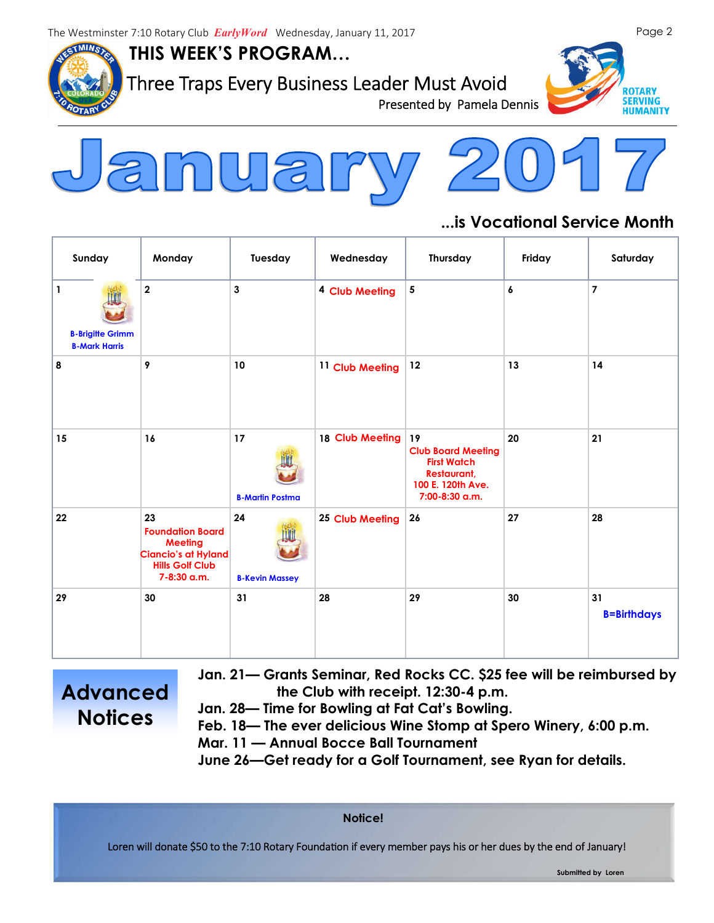**THIS WEEK'S PROGRAM…**



Three Traps Every Business Leader Must Avoid<br>Presented by Pamela Dennis





## **...is Vocational Service Month**

| Sunday                                                       | Monday                                                                                                                 | Tuesday                      | Wednesday                 | Thursday                                                                                                           | Friday | Saturday                 |
|--------------------------------------------------------------|------------------------------------------------------------------------------------------------------------------------|------------------------------|---------------------------|--------------------------------------------------------------------------------------------------------------------|--------|--------------------------|
| $\vert$ 1<br><b>B-Brigitte Grimm</b><br><b>B-Mark Harris</b> | $\mathbf{2}$                                                                                                           | $\mathbf{3}$                 | <sup>4</sup> Club Meeting | 5                                                                                                                  | 6      | $\overline{7}$           |
| 8                                                            | $\pmb{9}$                                                                                                              | 10                           | 11 Club Meeting           | 12                                                                                                                 | 13     | 14                       |
| 15                                                           | 16                                                                                                                     | 17<br><b>B-Martin Postma</b> | 18 Club Meeting           | 19<br><b>Club Board Meeting</b><br><b>First Watch</b><br><b>Restaurant,</b><br>100 E. 120th Ave.<br>7:00-8:30 a.m. | 20     | 21                       |
| 22                                                           | 23<br><b>Foundation Board</b><br><b>Meeting</b><br><b>Ciancio's at Hyland</b><br><b>Hills Golf Club</b><br>7-8:30 a.m. | 24<br><b>B-Kevin Massey</b>  | 25 Club Meeting           | 26                                                                                                                 | 27     | 28                       |
| 29                                                           | 30                                                                                                                     | 31                           | 28                        | 29                                                                                                                 | 30     | 31<br><b>B=Birthdays</b> |

**Advanced Notices**

- **Jan. 21— Grants Seminar, Red Rocks CC. \$25 fee will be reimbursed by the Club with receipt. 12:30-4 p.m.**
- **Jan. 28— Time for Bowling at Fat Cat's Bowling.**
- **Feb. 18— The ever delicious Wine Stomp at Spero Winery, 6:00 p.m.**
- **Mar. 11 — Annual Bocce Ball Tournament**

**June 26—Get ready for a Golf Tournament, see Ryan for details.** 

**Notice!**

Loren will donate \$50 to the 7:10 Rotary Foundation if every member pays his or her dues by the end of January!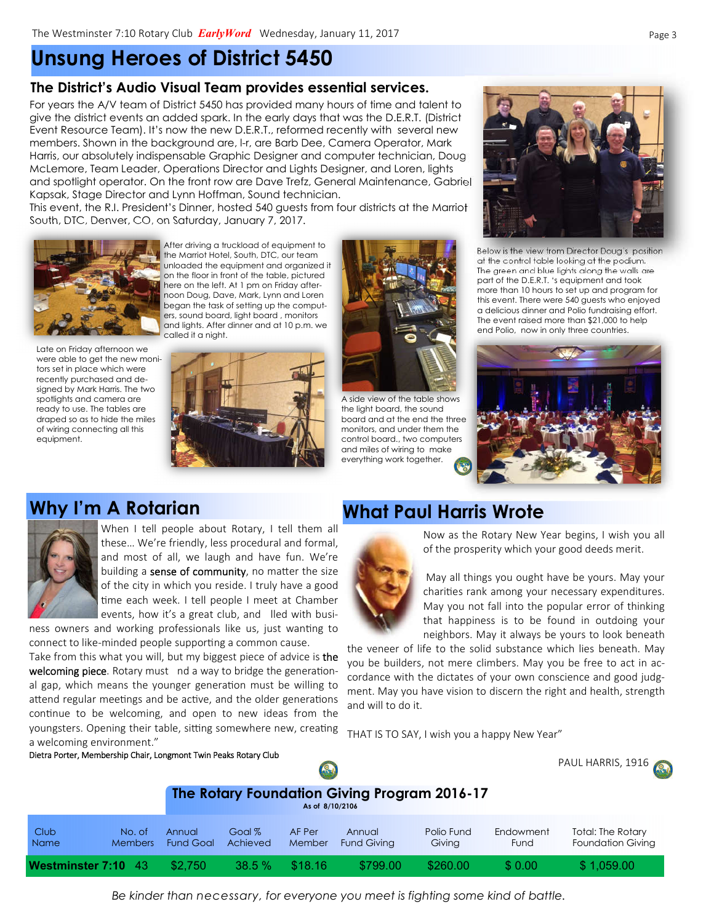# **Unsung Heroes of District 5450**

#### **The District's Audio Visual Team provides essential services.**

For years the A/V team of District 5450 has provided many hours of time and talent to give the district events an added spark. In the early days that was the D.E.R.T. (District Event Resource Team). It's now the new D.E.R.T., reformed recently with several new members. Shown in the background are, l-r, are Barb Dee, Camera Operator, Mark Harris, our absolutely indispensable Graphic Designer and computer technician, Doug McLemore, Team Leader, Operations Director and Lights Designer, and Loren, lights and spotlight operator. On the front row are Dave Trefz, General Maintenance, Gabriel Kapsak, Stage Director and Lynn Hoffman, Sound technician.

This event, the R.I. President's Dinner, hosted 540 guests from four districts at the Marriot South, DTC, Denver, CO, on Saturday, January 7, 2017.



After driving a truckload of equipment to the Marriot Hotel, South, DTC, our team unloaded the equipment and organized it on the floor in front of the table, pictured here on the left. At 1 pm on Friday afternoon Doug, Dave, Mark, Lynn and Loren began the task of setting up the computers, sound board, light board , monitors and lights. After dinner and at 10 p.m. we called it a night.

Late on Friday afternoon we were able to get the new monitors set in place which were recently purchased and designed by Mark Harris. The two spotlights and camera are ready to use. The tables are draped so as to hide the miles of wiring connecting all this equipment.





A side view of the table shows the light board, the sound board and at the end the three monitors, and under them the control board., two computers and miles of wiring to make everything work together.



Below is the view from Director Doug's position at the control table looking at the podium. The green and blue lights along the walls are part of the D.E.R.T. 's equipment and took more than 10 hours to set up and program for this event. There were 540 guests who enjoyed a delicious dinner and Polio fundraising effort. The event raised more than \$21,000 to help end Polio, now in only three countries.



## **Why I'm A Rotarian What Paul Harris Wrote**



When I tell people about Rotary, I tell them all these… We're friendly, less procedural and formal, and most of all, we laugh and have fun. We're building a sense of community, no matter the size of the city in which you reside. I truly have a good me each week. I tell people I meet at Chamber events, how it's a great club, and lled with busi-

ness owners and working professionals like us, just wanting to connect to like-minded people supporting a common cause.

Take from this what you will, but my biggest piece of advice is the welcoming piece. Rotary must nd a way to bridge the generational gap, which means the younger generation must be willing to attend regular meetings and be active, and the older generations continue to be welcoming, and open to new ideas from the youngsters. Opening their table, sitting somewhere new, creating a welcoming environment."

Dietra Porter, Membership Chair, Longmont Twin Peaks Rotary Club

Now as the Rotary New Year begins, I wish you all of the prosperity which your good deeds merit.

May all things you ought have be yours. May your charities rank among your necessary expenditures. May you not fall into the popular error of thinking that happiness is to be found in outdoing your neighbors. May it always be yours to look beneath

the veneer of life to the solid substance which lies beneath. May you be builders, not mere climbers. May you be free to act in accordance with the dictates of your own conscience and good judgment. May you have vision to discern the right and health, strength and will to do it.

THAT IS TO SAY, I wish you a happy New Year"

| Dietra Porter, Membership Chair, Longmont Twin Peaks Rotary Club<br>R) |                          |                            |                    |                  |                                              | PAUL HARRIS, 1916    |                   |                                                      |
|------------------------------------------------------------------------|--------------------------|----------------------------|--------------------|------------------|----------------------------------------------|----------------------|-------------------|------------------------------------------------------|
|                                                                        |                          |                            |                    | As of 8/10/2106  | The Rotary Foundation Giving Program 2016-17 |                      |                   |                                                      |
| Club<br><b>Name</b>                                                    | No. of<br><b>Members</b> | Annual<br><b>Fund Goal</b> | Goal %<br>Achieved | AF Per<br>Member | Annual<br><b>Fund Giving</b>                 | Polio Fund<br>Giving | Endowment<br>Fund | <b>Total: The Rotary</b><br><b>Foundation Giving</b> |
| Westminster 7:10 43                                                    |                          | \$2,750                    | 38.5%              | \$18.16          | \$799.00                                     | \$260.00             | \$0.00            | \$1,059.00                                           |

*Be kinder than necessary, for everyone you meet is fighting some kind of battle.*